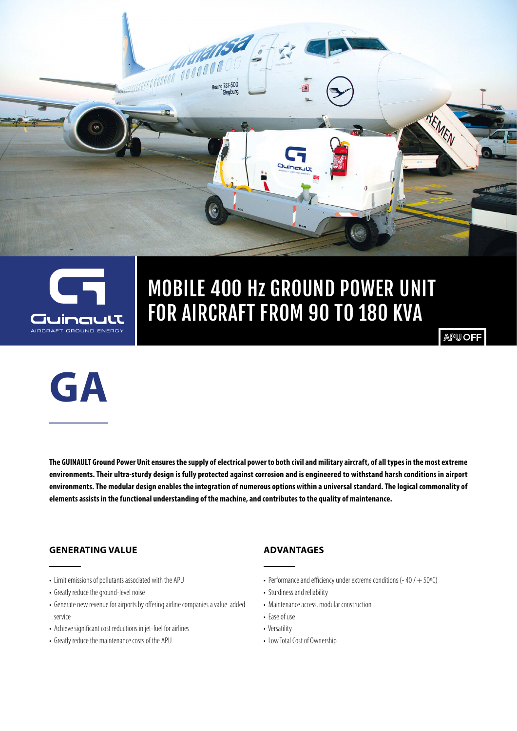



## MOBILE 400 Hz GROUND POWER UNIT FOR AIRCRAFT FROM 90 TO 180 KVA

**APU OFF** 



**The GUINAULT Ground Power Unit ensures the supply of electrical power to both civil and military aircraft, of all types in the most extreme environments. Their ultra-sturdy design is fully protected against corrosion and is engineered to withstand harsh conditions in airport environments. The modular design enables the integration of numerous options within a universal standard. The logical commonality of elements assists in the functional understanding of the machine, and contributes to the quality of maintenance.**

#### **GENERATING VALUE**

- Limit emissions of pollutants associated with the APU
- Greatly reduce the ground-level noise
- Generate new revenue for airports by offering airline companies a value-added service
- Achieve significant cost reductions in jet-fuel for airlines
- Greatly reduce the maintenance costs of the APU

#### **ADVANTAGES**

- Performance and efficiency under extreme conditions (-40 /  $+$  50°C)
- Sturdiness and reliability
- Maintenance access, modular construction
- Ease of use
- Versatility
- Low Total Cost of Ownership